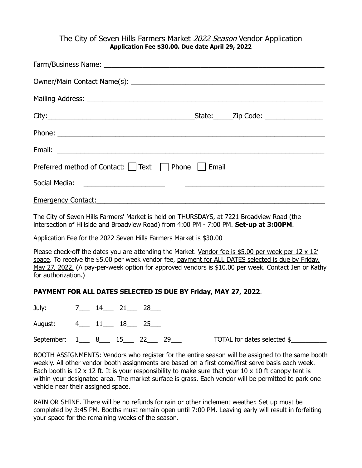## The City of Seven Hills Farmers Market 2022 Season Vendor Application **Application Fee \$30.00. Due date April 29, 2022**

| Preferred method of Contact: □ Text □ Phone □ Email                                                                                                                                                                           |  |
|-------------------------------------------------------------------------------------------------------------------------------------------------------------------------------------------------------------------------------|--|
| Social Media: The Contract of the Contract of the Contract of the Contract of the Contract of the Contract of the Contract of the Contract of the Contract of the Contract of the Contract of the Contract of the Contract of |  |
| <b>Emergency Contact:</b>                                                                                                                                                                                                     |  |

The City of Seven Hills Farmers' Market is held on THURSDAYS, at 7221 Broadview Road (the intersection of Hillside and Broadview Road) from 4:00 PM - 7:00 PM. **Set-up at 3:00PM**.

Application Fee for the 2022 Seven Hills Farmers Market is \$30.00

Please check-off the dates you are attending the Market. Vendor fee is \$5.00 per week per 12 x 12' space. To receive the \$5.00 per week vendor fee, payment for ALL DATES selected is due by Friday, May 27, 2022. (A pay-per-week option for approved vendors is \$10.00 per week. Contact Jen or Kathy for authorization.)

### **PAYMENT FOR ALL DATES SELECTED IS DUE BY Friday, MAY 27, 2022**.

| July:                        | 7______ 14_____ 21_____ 28 |  |                             |  |
|------------------------------|----------------------------|--|-----------------------------|--|
| August: 4___ 11___ 18___ 25_ |                            |  |                             |  |
| September: 1 8 15 22         |                            |  | TOTAL for dates selected \$ |  |

BOOTH ASSIGNMENTS: Vendors who register for the entire season will be assigned to the same booth weekly. All other vendor booth assignments are based on a first come/first serve basis each week. Each booth is 12 x 12 ft. It is your responsibility to make sure that your 10 x 10 ft canopy tent is within your designated area. The market surface is grass. Each vendor will be permitted to park one vehicle near their assigned space.

RAIN OR SHINE. There will be no refunds for rain or other inclement weather. Set up must be completed by 3:45 PM. Booths must remain open until 7:00 PM. Leaving early will result in forfeiting your space for the remaining weeks of the season.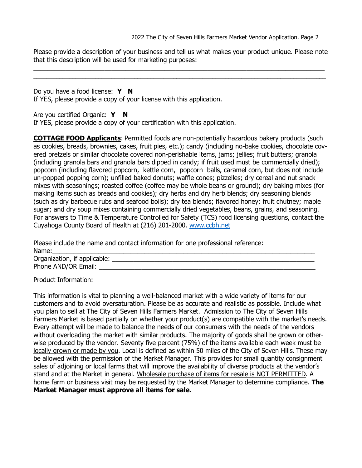2022 The City of Seven Hills Farmers Market Vendor Application. Page 2

Please provide a description of your business and tell us what makes your product unique. Please note that this description will be used for marketing purposes:

\_\_\_\_\_\_\_\_\_\_\_\_\_\_\_\_\_\_\_\_\_\_\_\_\_\_\_\_\_\_\_\_\_\_\_\_\_\_\_\_\_\_\_\_\_\_\_\_\_\_\_\_\_\_\_\_\_\_\_\_\_\_\_\_\_\_\_\_\_\_\_\_\_\_\_\_\_\_\_\_\_\_

Do you have a food license: **Y N** If YES, please provide a copy of your license with this application.

Are you certified Organic: Y N

If YES, please provide a copy of your certification with this application.

**COTTAGE FOOD Applicants**: Permitted foods are non-potentially hazardous bakery products (such as cookies, breads, brownies, cakes, fruit pies, etc.); candy (including no-bake cookies, chocolate covered pretzels or similar chocolate covered non-perishable items, jams; jellies; fruit butters; granola (including granola bars and granola bars dipped in candy; if fruit used must be commercially dried); popcorn (including flavored popcorn, kettle corn, popcorn balls, caramel corn, but does not include un-popped popping corn); unfilled baked donuts; waffle cones; pizzelles; dry cereal and nut snack mixes with seasonings; roasted coffee (coffee may be whole beans or ground); dry baking mixes (for making items such as breads and cookies); dry herbs and dry herb blends; dry seasoning blends (such as dry barbecue rubs and seafood boils); dry tea blends; flavored honey; fruit chutney; maple sugar; and dry soup mixes containing commercially dried vegetables, beans, grains, and seasoning. For answers to Time & Temperature Controlled for Safety (TCS) food licensing questions, contact the Cuyahoga County Board of Health at (216) 201-2000. [www.ccbh.net](http://www.ccbh.net/)

Please include the name and contact information for one professional reference: Name:\_\_\_\_\_\_\_\_\_\_\_\_\_\_\_\_\_\_\_\_\_\_\_\_\_\_\_\_\_\_\_\_\_\_\_\_\_\_\_\_\_\_\_\_\_\_\_\_\_\_\_\_\_\_\_\_\_\_\_\_\_\_\_\_\_\_\_\_\_\_\_\_\_\_

Organization, if applicable: \_\_\_\_\_\_\_\_\_\_\_\_\_\_\_\_\_\_\_\_\_\_\_\_\_\_\_\_\_\_\_\_\_\_\_\_\_\_\_\_\_\_\_\_\_\_\_\_\_\_\_\_\_\_\_\_\_ Phone AND/OR Email:

Product Information:

This information is vital to planning a well-balanced market with a wide variety of items for our customers and to avoid oversaturation. Please be as accurate and realistic as possible. Include what you plan to sell at The City of Seven Hills Farmers Market. Admission to The City of Seven Hills Farmers Market is based partially on whether your product(s) are compatible with the market's needs. Every attempt will be made to balance the needs of our consumers with the needs of the vendors without overloading the market with similar products. The majority of goods shall be grown or otherwise produced by the vendor. Seventy five percent (75%) of the items available each week must be locally grown or made by you. Local is defined as within 50 miles of the City of Seven Hills. These may be allowed with the permission of the Market Manager. This provides for small quantity consignment sales of adjoining or local farms that will improve the availability of diverse products at the vendor's stand and at the Market in general. Wholesale purchase of items for resale is NOT PERMITTED. A home farm or business visit may be requested by the Market Manager to determine compliance. **The Market Manager must approve all items for sale.**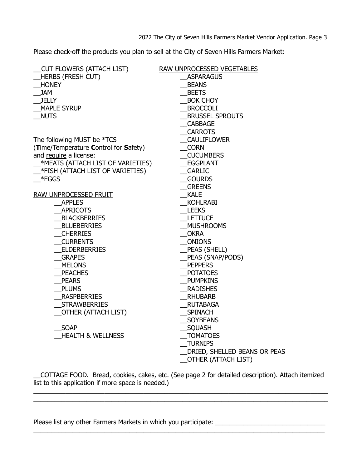Please check-off the products you plan to sell at the City of Seven Hills Farmers Market:

| CUT FLOWERS (ATTACH LIST)             | <b>RAW UNPROCESSED VEGETABLES</b> |
|---------------------------------------|-----------------------------------|
| <b>HERBS (FRESH CUT)</b>              | <b>ASPARAGUS</b>                  |
| <b>HONEY</b>                          | <b>BEANS</b>                      |
| <b>JAM</b>                            | <b>BEETS</b>                      |
| <b>JELLY</b>                          | <b>BOK CHOY</b>                   |
| <b>MAPLE SYRUP</b>                    | <b>BROCCOLI</b>                   |
| <b>NUTS</b>                           | <b>BRUSSEL SPROUTS</b>            |
|                                       | <b>CABBAGE</b>                    |
|                                       | <b>CARROTS</b>                    |
| The following MUST be *TCS            | _CAULIFLOWER                      |
| (Time/Temperature Control for Safety) | <b>CORN</b>                       |
| and require a license:                | <b>CUCUMBERS</b>                  |
| *MEATS (ATTACH LIST OF VARIETIES)     | EGGPLANT                          |
| *FISH (ATTACH LIST OF VARIETIES)      | <b>GARLIC</b>                     |
| $*FGGS$                               | <b>GOURDS</b>                     |
|                                       | <b>GREENS</b>                     |
| <b>RAW UNPROCESSED FRUIT</b>          | <b>KALE</b>                       |
| <b>APPLES</b>                         | KOHLRABI                          |
| <b>APRICOTS</b>                       | <b>LEEKS</b>                      |
| <b>BLACKBERRIES</b>                   | <b>LETTUCE</b>                    |
| <b>BLUEBERRIES</b>                    | <b>MUSHROOMS</b>                  |
| <b>CHERRIES</b>                       | OKRA                              |
| <b>CURRENTS</b>                       | $_{\_}$ ONIONS                    |
| <b>ELDERBERRIES</b>                   | _PEAS (SHELL)                     |
| <b>GRAPES</b>                         | PEAS (SNAP/PODS)                  |
| <b>MELONS</b>                         | <b>PEPPERS</b>                    |
| <b>PEACHES</b>                        | <b>POTATOES</b>                   |
| <b>PEARS</b>                          | PUMPKINS                          |
| <b>PLUMS</b>                          | <b>RADISHES</b>                   |
| __RASPBERRIES                         | <b>RHUBARB</b>                    |
| _STRAWBERRIES                         | <b>RUTABAGA</b>                   |
| _OTHER (ATTACH LIST)                  | _SPINACH                          |
|                                       | _SOYBEANS                         |
| <b>SOAP</b>                           | _SQUASH                           |
| <b>HEALTH &amp; WELLNESS</b>          | <b>TOMATOES</b>                   |
|                                       | <b>TURNIPS</b>                    |
|                                       | DRIED, SHELLED BEANS OR PEAS      |
|                                       | <b>OTHER (ATTACH LIST)</b>        |

\_\_COTTAGE FOOD. Bread, cookies, cakes, etc. (See page 2 for detailed description). Attach itemized  $\overline{\phantom{a}}$  list to this application if more space is needed.)

Please list any other Farmers Markets in which you participate: \_\_\_\_\_\_\_\_\_\_\_\_\_\_\_\_\_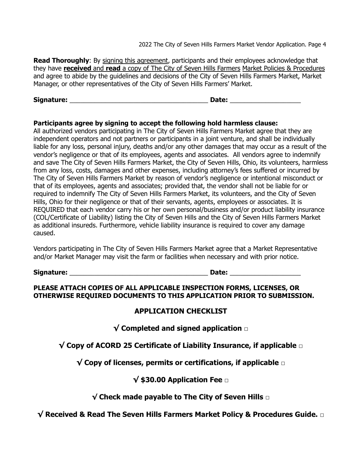2022 The City of Seven Hills Farmers Market Vendor Application. Page 4

**Read Thoroughly:** By signing this agreement, participants and their employees acknowledge that they have **received** and **read** a copy of The City of Seven Hills Farmers Market Policies & Procedures and agree to abide by the guidelines and decisions of the City of Seven Hills Farmers Market, Market Manager, or other representatives of the City of Seven Hills Farmers' Market.

**Signature:** \_\_\_\_\_\_\_\_\_\_\_\_\_\_\_\_\_\_\_\_\_\_\_\_\_\_\_\_\_\_\_\_\_\_\_\_\_\_\_ **Date:** \_\_\_\_\_\_\_\_\_\_\_\_\_\_\_\_\_\_\_\_

#### **Participants agree by signing to accept the following hold harmless clause:**

All authorized vendors participating in The City of Seven Hills Farmers Market agree that they are independent operators and not partners or participants in a joint venture, and shall be individually liable for any loss, personal injury, deaths and/or any other damages that may occur as a result of the vendor's negligence or that of its employees, agents and associates. All vendors agree to indemnify and save The City of Seven Hills Farmers Market, the City of Seven Hills, Ohio, its volunteers, harmless from any loss, costs, damages and other expenses, including attorney's fees suffered or incurred by The City of Seven Hills Farmers Market by reason of vendor's negligence or intentional misconduct or that of its employees, agents and associates; provided that, the vendor shall not be liable for or required to indemnify The City of Seven Hills Farmers Market, its volunteers, and the City of Seven Hills, Ohio for their negligence or that of their servants, agents, employees or associates. It is REQUIRED that each vendor carry his or her own personal/business and/or product liability insurance (COL/Certificate of Liability) listing the City of Seven Hills and the City of Seven Hills Farmers Market as additional insureds. Furthermore, vehicle liability insurance is required to cover any damage caused.

Vendors participating in The City of Seven Hills Farmers Market agree that a Market Representative and/or Market Manager may visit the farm or facilities when necessary and with prior notice.

**Signature:** \_\_\_\_\_\_\_\_\_\_\_\_\_\_\_\_\_\_\_\_\_\_\_\_\_\_\_\_\_\_\_\_\_\_\_\_\_\_\_ **Date:** \_\_\_\_\_\_\_\_\_\_\_\_\_\_\_\_\_\_\_\_

**PLEASE ATTACH COPIES OF ALL APPLICABLE INSPECTION FORMS, LICENSES, OR OTHERWISE REQUIRED DOCUMENTS TO THIS APPLICATION PRIOR TO SUBMISSION.**

# **APPLICATION CHECKLIST**

**√ Completed and signed application □**

**√ Copy of ACORD 25 Certificate of Liability Insurance, if applicable □**

**√ Copy of licenses, permits or certifications, if applicable □**

# **√ \$30.00 Application Fee □**

**√ Check made payable to The City of Seven Hills** □

**√ Received & Read The Seven Hills Farmers Market Policy & Procedures Guide. □**